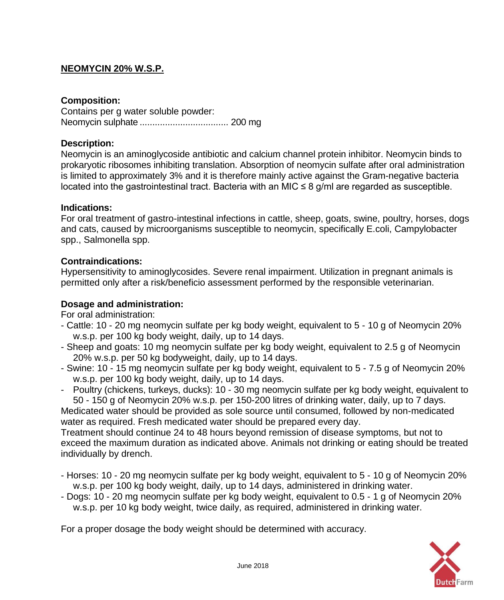# **NEOMYCIN 20% W.S.P.**

# **Composition:**

Contains per g water soluble powder: Neomycin sulphate ................................... 200 mg

# **Description:**

Neomycin is an aminoglycoside antibiotic and calcium channel protein inhibitor. Neomycin binds to prokaryotic ribosomes inhibiting translation. Absorption of neomycin sulfate after oral administration is limited to approximately 3% and it is therefore mainly active against the Gram-negative bacteria located into the gastrointestinal tract. Bacteria with an MIC  $\leq 8$  g/ml are regarded as susceptible.

## **Indications:**

For oral treatment of gastro-intestinal infections in cattle, sheep, goats, swine, poultry, horses, dogs and cats, caused by microorganisms susceptible to neomycin, specifically E.coli, Campylobacter spp., Salmonella spp.

## **Contraindications:**

Hypersensitivity to aminoglycosides. Severe renal impairment. Utilization in pregnant animals is permitted only after a risk/beneficio assessment performed by the responsible veterinarian.

## **Dosage and administration:**

For oral administration:

- Cattle: 10 20 mg neomycin sulfate per kg body weight, equivalent to 5 10 g of Neomycin 20% w.s.p. per 100 kg body weight, daily, up to 14 days.
- Sheep and goats: 10 mg neomycin sulfate per kg body weight, equivalent to 2.5 g of Neomycin 20% w.s.p. per 50 kg bodyweight, daily, up to 14 days.
- Swine: 10 15 mg neomycin sulfate per kg body weight, equivalent to 5 7.5 g of Neomycin 20% w.s.p. per 100 kg body weight, daily, up to 14 days.
- Poultry (chickens, turkeys, ducks): 10 30 mg neomycin sulfate per kg body weight, equivalent to 50 - 150 g of Neomycin 20% w.s.p. per 150-200 litres of drinking water, daily, up to 7 days.

Medicated water should be provided as sole source until consumed, followed by non-medicated water as required. Fresh medicated water should be prepared every day.

Treatment should continue 24 to 48 hours beyond remission of disease symptoms, but not to exceed the maximum duration as indicated above. Animals not drinking or eating should be treated individually by drench.

- Horses: 10 20 mg neomycin sulfate per kg body weight, equivalent to 5 10 g of Neomycin 20% w.s.p. per 100 kg body weight, daily, up to 14 days, administered in drinking water.
- Dogs: 10 20 mg neomycin sulfate per kg body weight, equivalent to 0.5 1 g of Neomycin 20% w.s.p. per 10 kg body weight, twice daily, as required, administered in drinking water.

For a proper dosage the body weight should be determined with accuracy.